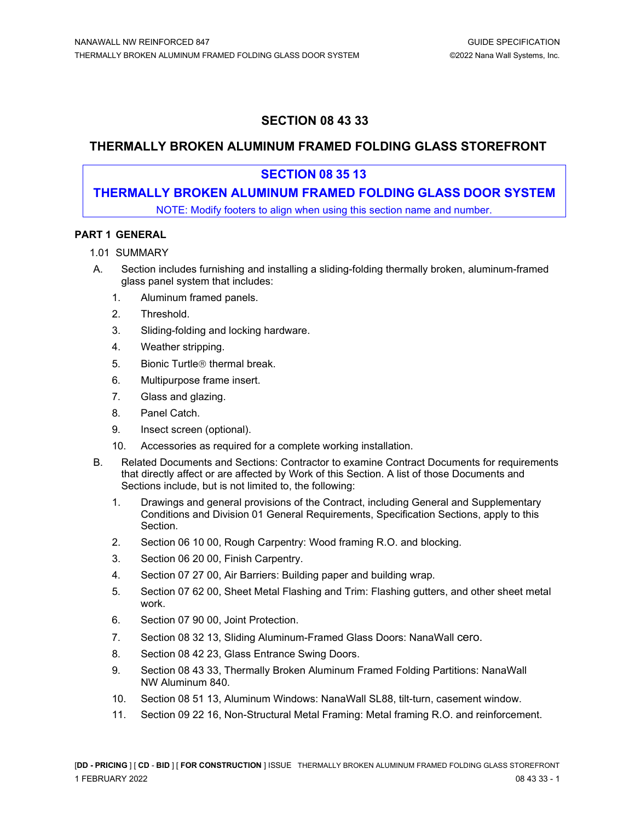# **SECTION 08 43 33**

## **THERMALLY BROKEN ALUMINUM FRAMED FOLDING GLASS STOREFRONT**

## **SECTION 08 35 13**

# **THERMALLY BROKEN ALUMINUM FRAMED FOLDING GLASS DOOR SYSTEM**

NOTE: Modify footers to align when using this section name and number.

### **PART 1 GENERAL**

- 1.01 SUMMARY
- A. Section includes furnishing and installing a sliding-folding thermally broken, aluminum-framed glass panel system that includes:
	- 1. Aluminum framed panels.
	- 2. Threshold.
	- 3. Sliding-folding and locking hardware.
	- 4. Weather stripping.
	- 5. Bionic Turtle<sup>®</sup> thermal break.
	- 6. Multipurpose frame insert.
	- 7. Glass and glazing.
	- 8. Panel Catch.
	- 9. Insect screen (optional).
	- 10. Accessories as required for a complete working installation.
- B. Related Documents and Sections: Contractor to examine Contract Documents for requirements that directly affect or are affected by Work of this Section. A list of those Documents and Sections include, but is not limited to, the following:
	- 1. Drawings and general provisions of the Contract, including General and Supplementary Conditions and Division 01 General Requirements, Specification Sections, apply to this Section.
	- 2. Section 06 10 00, Rough Carpentry: Wood framing R.O. and blocking.
	- 3. Section 06 20 00, Finish Carpentry.
	- 4. Section 07 27 00, Air Barriers: Building paper and building wrap.
	- 5. Section 07 62 00, Sheet Metal Flashing and Trim: Flashing gutters, and other sheet metal work.
	- 6. Section 07 90 00, Joint Protection.
	- 7. Section 08 32 13, Sliding Aluminum-Framed Glass Doors: NanaWall cero.
	- 8. Section 08 42 23, Glass Entrance Swing Doors.
	- 9. Section 08 43 33, Thermally Broken Aluminum Framed Folding Partitions: NanaWall NW Aluminum 840.
	- 10. Section 08 51 13, Aluminum Windows: NanaWall SL88, tilt-turn, casement window.
	- 11. Section 09 22 16, Non-Structural Metal Framing: Metal framing R.O. and reinforcement.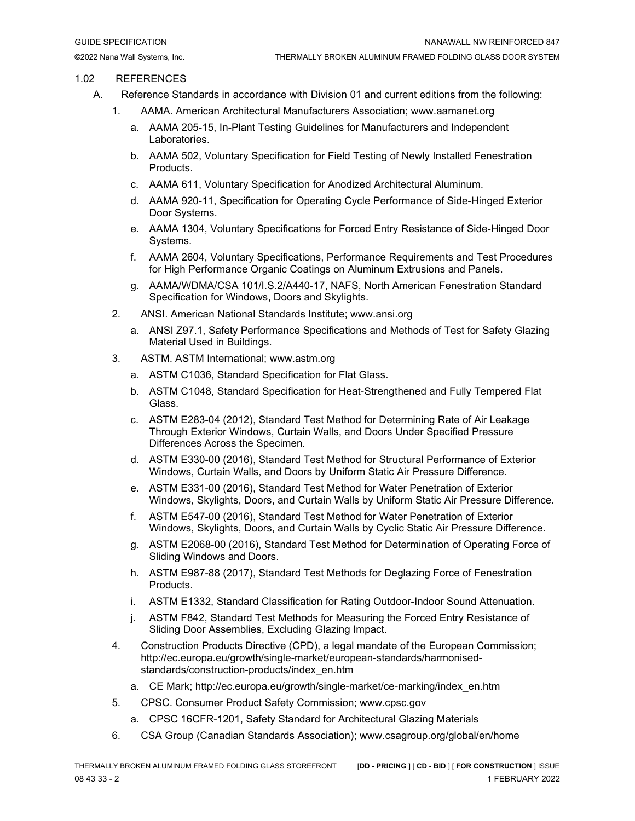#### 1.02 REFERENCES

- A. Reference Standards in accordance with Division 01 and current editions from the following:
	- 1. AAMA. American Architectural Manufacturers Association; www.aamanet.org
		- a. AAMA 205-15, In-Plant Testing Guidelines for Manufacturers and Independent Laboratories.
		- b. AAMA 502, Voluntary Specification for Field Testing of Newly Installed Fenestration Products.
		- c. AAMA 611, Voluntary Specification for Anodized Architectural Aluminum.
		- d. AAMA 920-11, Specification for Operating Cycle Performance of Side-Hinged Exterior Door Systems.
		- e. AAMA 1304, Voluntary Specifications for Forced Entry Resistance of Side-Hinged Door Systems.
		- f. AAMA 2604, Voluntary Specifications, Performance Requirements and Test Procedures for High Performance Organic Coatings on Aluminum Extrusions and Panels.
		- g. AAMA/WDMA/CSA 101/I.S.2/A440-17, NAFS, North American Fenestration Standard Specification for Windows, Doors and Skylights.
	- 2. ANSI. American National Standards Institute; www.ansi.org
		- a. ANSI Z97.1, Safety Performance Specifications and Methods of Test for Safety Glazing Material Used in Buildings.
	- 3. ASTM. ASTM International; www.astm.org
		- a. ASTM C1036, Standard Specification for Flat Glass.
		- b. ASTM C1048, Standard Specification for Heat-Strengthened and Fully Tempered Flat Glass.
		- c. ASTM E283-04 (2012), Standard Test Method for Determining Rate of Air Leakage Through Exterior Windows, Curtain Walls, and Doors Under Specified Pressure Differences Across the Specimen.
		- d. ASTM E330-00 (2016), Standard Test Method for Structural Performance of Exterior Windows, Curtain Walls, and Doors by Uniform Static Air Pressure Difference.
		- e. ASTM E331-00 (2016), Standard Test Method for Water Penetration of Exterior Windows, Skylights, Doors, and Curtain Walls by Uniform Static Air Pressure Difference.
		- f. ASTM E547-00 (2016), Standard Test Method for Water Penetration of Exterior Windows, Skylights, Doors, and Curtain Walls by Cyclic Static Air Pressure Difference.
		- g. ASTM E2068-00 (2016), Standard Test Method for Determination of Operating Force of Sliding Windows and Doors.
		- h. ASTM E987-88 (2017), Standard Test Methods for Deglazing Force of Fenestration Products.
		- i. ASTM E1332, Standard Classification for Rating Outdoor-Indoor Sound Attenuation.
		- j. ASTM F842, Standard Test Methods for Measuring the Forced Entry Resistance of Sliding Door Assemblies, Excluding Glazing Impact.
	- 4. Construction Products Directive (CPD), a legal mandate of the European Commission; http://ec.europa.eu/growth/single-market/european-standards/harmonisedstandards/construction-products/index\_en.htm
		- a. CE Mark; http://ec.europa.eu/growth/single-market/ce-marking/index\_en.htm
	- 5. CPSC. Consumer Product Safety Commission; www.cpsc.gov
		- a. CPSC 16CFR-1201, Safety Standard for Architectural Glazing Materials
	- 6. CSA Group (Canadian Standards Association); www.csagroup.org/global/en/home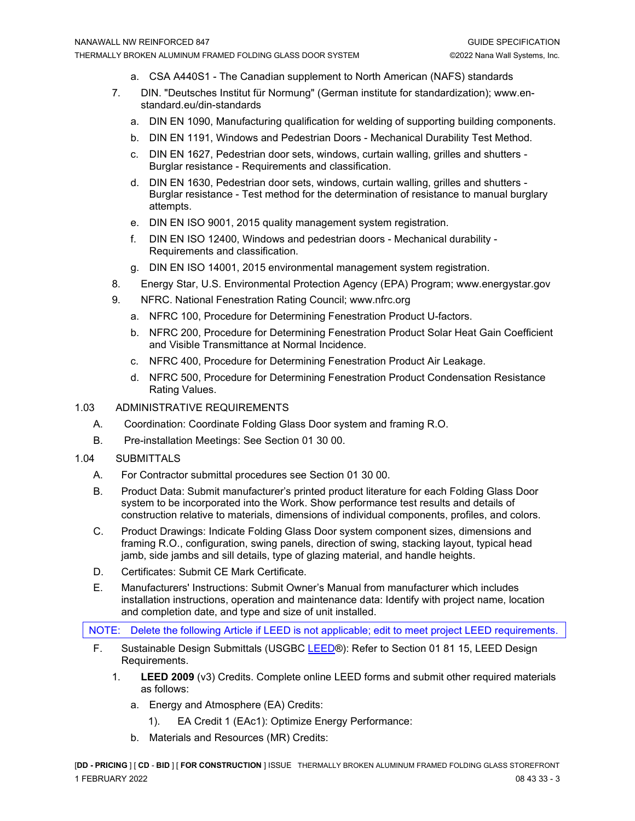- a. CSA A440S1 The Canadian supplement to North American (NAFS) standards
- 7. DIN. "Deutsches Institut für Normung" (German institute for standardization); www.enstandard.eu/din-standards
	- a. DIN EN 1090, Manufacturing qualification for welding of supporting building components.
	- b. DIN EN 1191, Windows and Pedestrian Doors Mechanical Durability Test Method.
	- c. DIN EN 1627, Pedestrian door sets, windows, curtain walling, grilles and shutters Burglar resistance - Requirements and classification.
	- d. DIN EN 1630, Pedestrian door sets, windows, curtain walling, grilles and shutters Burglar resistance - Test method for the determination of resistance to manual burglary attempts.
	- e. DIN EN ISO 9001, 2015 quality management system registration.
	- f. DIN EN ISO 12400, Windows and pedestrian doors Mechanical durability Requirements and classification.
	- g. DIN EN ISO 14001, 2015 environmental management system registration.
- 8. Energy Star, U.S. Environmental Protection Agency (EPA) Program; www.energystar.gov
- 9. NFRC. National Fenestration Rating Council; www.nfrc.org
	- a. NFRC 100, Procedure for Determining Fenestration Product U-factors.
	- b. NFRC 200, Procedure for Determining Fenestration Product Solar Heat Gain Coefficient and Visible Transmittance at Normal Incidence.
	- c. NFRC 400, Procedure for Determining Fenestration Product Air Leakage.
	- d. NFRC 500, Procedure for Determining Fenestration Product Condensation Resistance Rating Values.
- 1.03 ADMINISTRATIVE REQUIREMENTS
	- A. Coordination: Coordinate Folding Glass Door system and framing R.O.
	- B. Pre-installation Meetings: See Section 01 30 00.
- 1.04 SUBMITTALS
	- A. For Contractor submittal procedures see Section 01 30 00.
	- B. Product Data: Submit manufacturer's printed product literature for each Folding Glass Door system to be incorporated into the Work. Show performance test results and details of construction relative to materials, dimensions of individual components, profiles, and colors.
	- C. Product Drawings: Indicate Folding Glass Door system component sizes, dimensions and framing R.O., configuration, swing panels, direction of swing, stacking layout, typical head jamb, side jambs and sill details, type of glazing material, and handle heights.
	- D. Certificates: Submit CE Mark Certificate.
	- E. Manufacturers' Instructions: Submit Owner's Manual from manufacturer which includes installation instructions, operation and maintenance data: Identify with project name, location and completion date, and type and size of unit installed.

NOTE: Delete the following Article if LEED is not applicable; edit to meet project LEED requirements.

- F. Sustainable Design Submittals (USGBC [LEED®](https://www.epa.gov/sites/production/files/2014-03/documents/018113_0.pdf)): Refer to Section 01 81 15, LEED Design Requirements.
	- 1. **LEED 2009** (v3) Credits. Complete online LEED forms and submit other required materials as follows:
		- a. Energy and Atmosphere (EA) Credits:
			- 1). EA Credit 1 (EAc1): Optimize Energy Performance:
		- b. Materials and Resources (MR) Credits: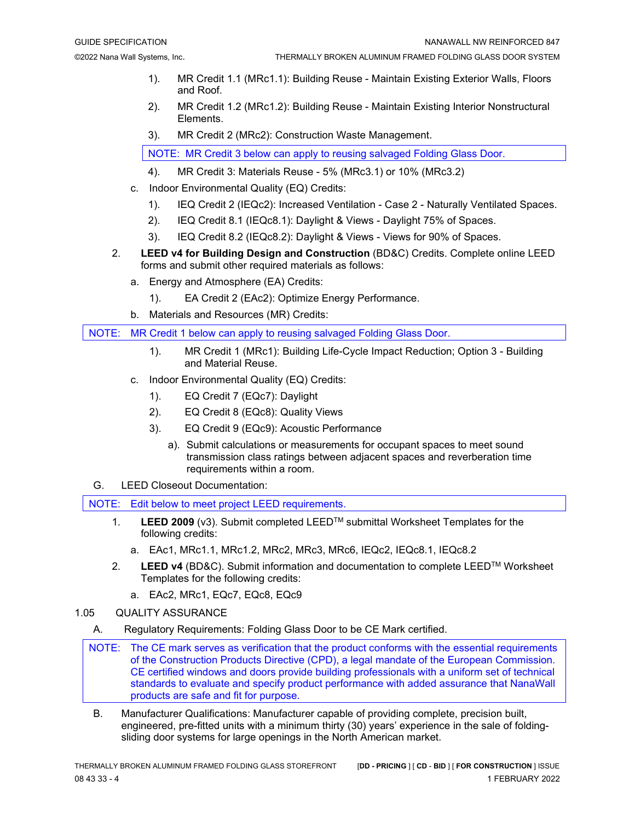- 1). MR Credit 1.1 (MRc1.1): Building Reuse Maintain Existing Exterior Walls, Floors and Roof.
- 2). MR Credit 1.2 (MRc1.2): Building Reuse Maintain Existing Interior Nonstructural Elements.
- 3). MR Credit 2 (MRc2): Construction Waste Management.

NOTE: MR Credit 3 below can apply to reusing salvaged Folding Glass Door.

- 4). MR Credit 3: Materials Reuse 5% (MRc3.1) or 10% (MRc3.2)
- c. Indoor Environmental Quality (EQ) Credits:
	- 1). IEQ Credit 2 (IEQc2): Increased Ventilation Case 2 Naturally Ventilated Spaces.
	- 2). IEQ Credit 8.1 (IEQc8.1): Daylight & Views Daylight 75% of Spaces.
	- 3). IEQ Credit 8.2 (IEQc8.2): Daylight & Views Views for 90% of Spaces.
- 2. **LEED v4 for Building Design and Construction** (BD&C) Credits. Complete online LEED forms and submit other required materials as follows:
	- a. Energy and Atmosphere (EA) Credits:
		- 1). EA Credit 2 (EAc2): Optimize Energy Performance.
	- b. Materials and Resources (MR) Credits:

NOTE: MR Credit 1 below can apply to reusing salvaged Folding Glass Door.

- 1). MR Credit 1 (MRc1): Building Life-Cycle Impact Reduction; Option 3 Building and Material Reuse.
- c. Indoor Environmental Quality (EQ) Credits:
	- 1). EQ Credit 7 (EQc7): Daylight
	- 2). EQ Credit 8 (EQc8): Quality Views
	- 3). EQ Credit 9 (EQc9): Acoustic Performance
		- a). Submit calculations or measurements for occupant spaces to meet sound transmission class ratings between adjacent spaces and reverberation time requirements within a room.
- G. LEED Closeout Documentation:

NOTE: Edit below to meet project LEED requirements.

- 1. **LEED 2009** (v3). Submit completed LEEDTM submittal Worksheet Templates for the following credits:
	- a. EAc1, MRc1.1, MRc1.2, MRc2, MRc3, MRc6, IEQc2, IEQc8.1, IEQc8.2
- 2. **LEED v4** (BD&C). Submit information and documentation to complete LEEDTM Worksheet Templates for the following credits:
	- a. EAc2, MRc1, EQc7, EQc8, EQc9
- 1.05 QUALITY ASSURANCE
	- A. Regulatory Requirements: Folding Glass Door to be CE Mark certified.
	- NOTE: The CE mark serves as verification that the product conforms with the essential requirements of the Construction Products Directive (CPD), a legal mandate of the European Commission. CE certified windows and doors provide building professionals with a uniform set of technical standards to evaluate and specify product performance with added assurance that NanaWall products are safe and fit for purpose.
		- B. Manufacturer Qualifications: Manufacturer capable of providing complete, precision built, engineered, pre-fitted units with a minimum thirty (30) years' experience in the sale of foldingsliding door systems for large openings in the North American market.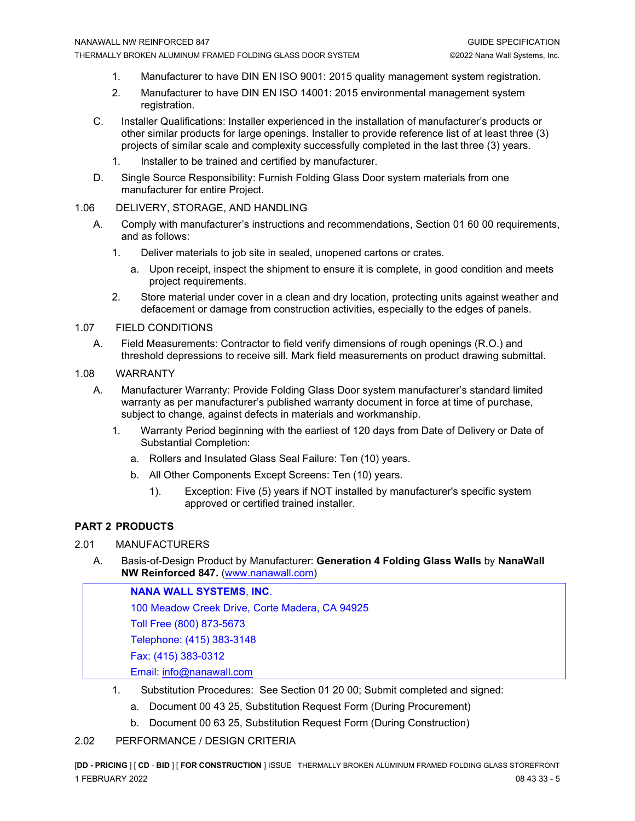- 1. Manufacturer to have DIN EN ISO 9001: 2015 quality management system registration.
- 2. Manufacturer to have DIN EN ISO 14001: 2015 environmental management system registration.
- C. Installer Qualifications: Installer experienced in the installation of manufacturer's products or other similar products for large openings. Installer to provide reference list of at least three (3) projects of similar scale and complexity successfully completed in the last three (3) years.
	- 1. Installer to be trained and certified by manufacturer.
- D. Single Source Responsibility: Furnish Folding Glass Door system materials from one manufacturer for entire Project.

#### 1.06 DELIVERY, STORAGE, AND HANDLING

- A. Comply with manufacturer's instructions and recommendations, Section 01 60 00 requirements, and as follows:
	- 1. Deliver materials to job site in sealed, unopened cartons or crates.
		- a. Upon receipt, inspect the shipment to ensure it is complete, in good condition and meets project requirements.
	- 2. Store material under cover in a clean and dry location, protecting units against weather and defacement or damage from construction activities, especially to the edges of panels.

#### 1.07 FIELD CONDITIONS

A. Field Measurements: Contractor to field verify dimensions of rough openings (R.O.) and threshold depressions to receive sill. Mark field measurements on product drawing submittal.

#### 1.08 WARRANTY

- A. Manufacturer Warranty: Provide Folding Glass Door system manufacturer's standard limited warranty as per manufacturer's published warranty document in force at time of purchase, subject to change, against defects in materials and workmanship.
	- 1. Warranty Period beginning with the earliest of 120 days from Date of Delivery or Date of Substantial Completion:
		- a. Rollers and Insulated Glass Seal Failure: Ten (10) years.
		- b. All Other Components Except Screens: Ten (10) years.
			- 1). Exception: Five (5) years if NOT installed by manufacturer's specific system approved or certified trained installer.

### **PART 2 PRODUCTS**

#### 2.01 MANUFACTURERS

A. Basis-of-Design Product by Manufacturer: **Generation 4 Folding Glass Walls** by **NanaWall NW Reinforced 847.** [\(www.nanawall.com\)](http://www.nanawall.com/)

**NANA WALL SYSTEMS**, **INC**. 100 Meadow Creek Drive, Corte Madera, CA 94925 Toll Free (800) 873-5673 Telephone: (415) 383-3148 Fax: (415) 383-0312 Email: [info@nanawall.com](mailto:info@nanawall.com)

- 1. Substitution Procedures: See Section 01 20 00; Submit completed and signed:
	- a. Document 00 43 25, Substitution Request Form (During Procurement)
	- b. Document 00 63 25, Substitution Request Form (During Construction)

#### 2.02 PERFORMANCE / DESIGN CRITERIA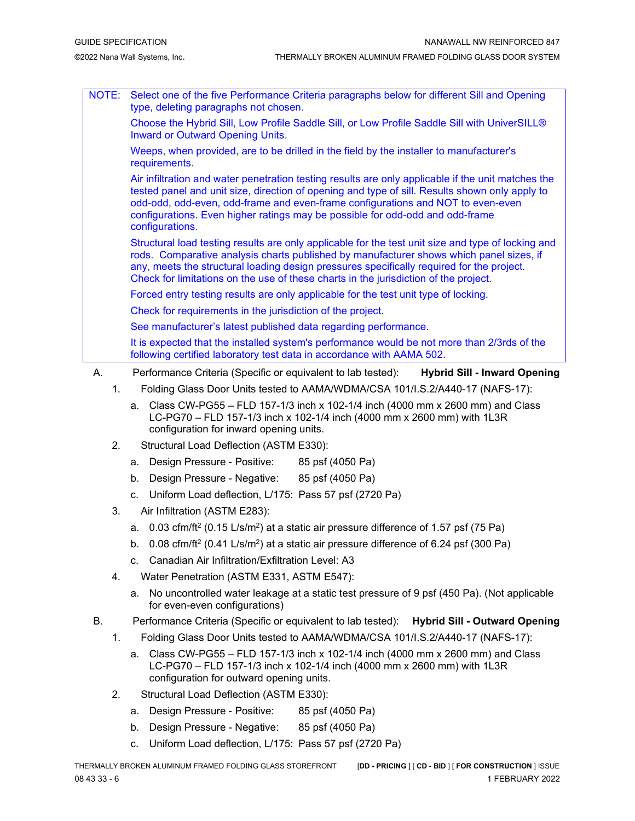- NOTE: Select one of the five Performance Criteria paragraphs below for different Sill and Opening type, deleting paragraphs not chosen. Choose the Hybrid Sill, Low Profile Saddle Sill, or Low Profile Saddle Sill with UniverSILL® Inward or Outward Opening Units. Weeps, when provided, are to be drilled in the field by the installer to manufacturer's requirements. Air infiltration and water penetration testing results are only applicable if the unit matches the tested panel and unit size, direction of opening and type of sill. Results shown only apply to odd-odd, odd-even, odd-frame and even-frame configurations and NOT to even-even configurations. Even higher ratings may be possible for odd-odd and odd-frame configurations. Structural load testing results are only applicable for the test unit size and type of locking and rods. Comparative analysis charts published by manufacturer shows which panel sizes, if any, meets the structural loading design pressures specifically required for the project. Check for limitations on the use of these charts in the jurisdiction of the project. Forced entry testing results are only applicable for the test unit type of locking. Check for requirements in the jurisdiction of the project. See manufacturer's latest published data regarding performance. It is expected that the installed system's performance would be not more than 2/3rds of the following certified laboratory test data in accordance with AAMA 502. A. Performance Criteria (Specific or equivalent to lab tested): **Hybrid Sill - Inward Opening**
	- 1. Folding Glass Door Units tested to AAMA/WDMA/CSA 101/I.S.2/A440-17 (NAFS-17):
		- a. Class CW-PG55 FLD 157-1/3 inch x 102-1/4 inch (4000 mm x 2600 mm) and Class LC-PG70 – FLD 157-1/3 inch x 102-1/4 inch (4000 mm x 2600 mm) with 1L3R configuration for inward opening units.
	- 2. Structural Load Deflection (ASTM E330):
		- a. Design Pressure Positive: 85 psf (4050 Pa)
		- b. Design Pressure Negative: 85 psf (4050 Pa)
		- c. Uniform Load deflection, L/175: Pass 57 psf (2720 Pa)
	- 3. Air Infiltration (ASTM E283):
		- a.  $0.03$  cfm/ft<sup>2</sup> (0.15 L/s/m<sup>2</sup>) at a static air pressure difference of 1.57 psf (75 Pa)
		- b.  $0.08$  cfm/ft<sup>2</sup> (0.41 L/s/m<sup>2</sup>) at a static air pressure difference of 6.24 psf (300 Pa)
		- c. Canadian Air Infiltration/Exfiltration Level: A3
	- 4. Water Penetration (ASTM E331, ASTM E547):
		- a. No uncontrolled water leakage at a static test pressure of 9 psf (450 Pa). (Not applicable for even-even configurations)
	- B. Performance Criteria (Specific or equivalent to lab tested): **Hybrid Sill - Outward Opening**
		- 1. Folding Glass Door Units tested to AAMA/WDMA/CSA 101/I.S.2/A440-17 (NAFS-17):
			- a. Class CW-PG55 FLD 157-1/3 inch x 102-1/4 inch (4000 mm x 2600 mm) and Class LC-PG70 – FLD 157-1/3 inch x 102-1/4 inch (4000 mm x 2600 mm) with 1L3R configuration for outward opening units.
		- 2. Structural Load Deflection (ASTM E330):
			- a. Design Pressure Positive: 85 psf (4050 Pa)
			- b. Design Pressure Negative: 85 psf (4050 Pa)
			- c. Uniform Load deflection, L/175: Pass 57 psf (2720 Pa)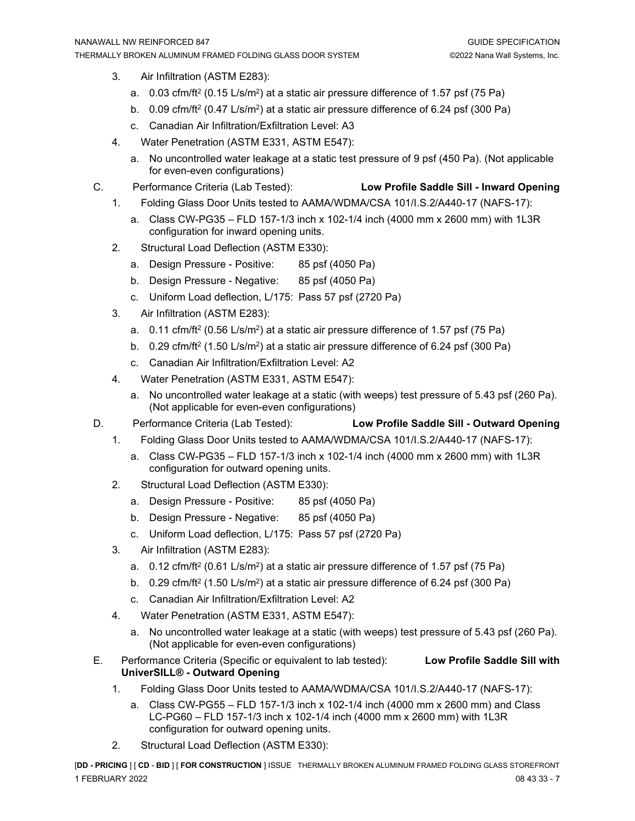- 3. Air Infiltration (ASTM E283):
	- a.  $0.03$  cfm/ft<sup>2</sup> (0.15 L/s/m<sup>2</sup>) at a static air pressure difference of 1.57 psf (75 Pa)
	- b. 0.09 cfm/ft<sup>2</sup> (0.47 L/s/m<sup>2</sup>) at a static air pressure difference of 6.24 psf (300 Pa)
	- c. Canadian Air Infiltration/Exfiltration Level: A3
- 4. Water Penetration (ASTM E331, ASTM E547):
	- a. No uncontrolled water leakage at a static test pressure of 9 psf (450 Pa). (Not applicable for even-even configurations)
- C. Performance Criteria (Lab Tested): **Low Profile Saddle Sill - Inward Opening**
	-
	- 1. Folding Glass Door Units tested to AAMA/WDMA/CSA 101/I.S.2/A440-17 (NAFS-17):
		- a. Class CW-PG35 FLD 157-1/3 inch x 102-1/4 inch (4000 mm x 2600 mm) with 1L3R configuration for inward opening units.
	- 2. Structural Load Deflection (ASTM E330):
		- a. Design Pressure Positive: 85 psf (4050 Pa)
		- b. Design Pressure Negative: 85 psf (4050 Pa)
		- c. Uniform Load deflection, L/175: Pass 57 psf (2720 Pa)
	- 3. Air Infiltration (ASTM E283):
		- a.  $0.11 \text{ cfm/ft}^2$  (0.56 L/s/m<sup>2</sup>) at a static air pressure difference of 1.57 psf (75 Pa)
		- b. 0.29 cfm/ft<sup>2</sup> (1.50 L/s/m<sup>2</sup>) at a static air pressure difference of 6.24 psf (300 Pa)
		- c. Canadian Air Infiltration/Exfiltration Level: A2
	- 4. Water Penetration (ASTM E331, ASTM E547):
		- a. No uncontrolled water leakage at a static (with weeps) test pressure of 5.43 psf (260 Pa). (Not applicable for even-even configurations)
- D. Performance Criteria (Lab Tested): **Low Profile Saddle Sill - Outward Opening**
	- 1. Folding Glass Door Units tested to AAMA/WDMA/CSA 101/I.S.2/A440-17 (NAFS-17):
		- a. Class CW-PG35 FLD 157-1/3 inch x 102-1/4 inch (4000 mm x 2600 mm) with 1L3R configuration for outward opening units.
	- 2. Structural Load Deflection (ASTM E330):
		- a. Design Pressure Positive: 85 psf (4050 Pa)
		- b. Design Pressure Negative: 85 psf (4050 Pa)
		- c. Uniform Load deflection, L/175: Pass 57 psf (2720 Pa)
	- 3. Air Infiltration (ASTM E283):
		- a.  $0.12 \text{ cfm/ft}^2 (0.61 \text{ L/s/m}^2)$  at a static air pressure difference of 1.57 psf (75 Pa)
		- b. 0.29 cfm/ft<sup>2</sup> (1.50 L/s/m<sup>2</sup>) at a static air pressure difference of 6.24 psf (300 Pa)
		- c. Canadian Air Infiltration/Exfiltration Level: A2
	- 4. Water Penetration (ASTM E331, ASTM E547):
		- a. No uncontrolled water leakage at a static (with weeps) test pressure of 5.43 psf (260 Pa). (Not applicable for even-even configurations)
- E. Performance Criteria (Specific or equivalent to lab tested): **Low Profile Saddle Sill with UniverSILL® - Outward Opening**
	- 1. Folding Glass Door Units tested to AAMA/WDMA/CSA 101/I.S.2/A440-17 (NAFS-17):
		- a. Class CW-PG55 FLD 157-1/3 inch x 102-1/4 inch (4000 mm x 2600 mm) and Class LC-PG60 – FLD 157-1/3 inch x 102-1/4 inch (4000 mm x 2600 mm) with 1L3R configuration for outward opening units.
	- 2. Structural Load Deflection (ASTM E330):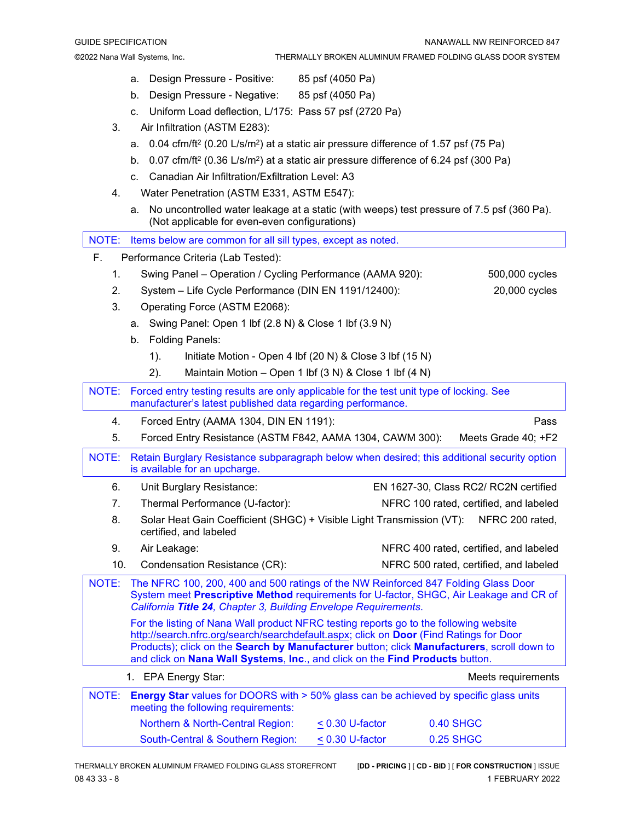- a. Design Pressure Positive: 85 psf (4050 Pa)
- b. Design Pressure Negative: 85 psf (4050 Pa)
- c. Uniform Load deflection, L/175: Pass 57 psf (2720 Pa)
- 3. Air Infiltration (ASTM E283):
	- a. 0.04 cfm/ft<sup>2</sup> (0.20 L/s/m<sup>2</sup>) at a static air pressure difference of 1.57 psf (75 Pa)
	- b. 0.07 cfm/ft<sup>2</sup> (0.36 L/s/m<sup>2</sup>) at a static air pressure difference of 6.24 psf (300 Pa)
	- c. Canadian Air Infiltration/Exfiltration Level: A3
- 4. Water Penetration (ASTM E331, ASTM E547):
	- a. No uncontrolled water leakage at a static (with weeps) test pressure of 7.5 psf (360 Pa). (Not applicable for even-even configurations)

|                                                                                                                                                                                                                                                                                                                                                               | (Not applicable for even-even configurations)                                                                                                                                                                                                   |                                        |                                        |  |
|---------------------------------------------------------------------------------------------------------------------------------------------------------------------------------------------------------------------------------------------------------------------------------------------------------------------------------------------------------------|-------------------------------------------------------------------------------------------------------------------------------------------------------------------------------------------------------------------------------------------------|----------------------------------------|----------------------------------------|--|
| NOTE:                                                                                                                                                                                                                                                                                                                                                         | Items below are common for all sill types, except as noted.                                                                                                                                                                                     |                                        |                                        |  |
| F.<br>Performance Criteria (Lab Tested):                                                                                                                                                                                                                                                                                                                      |                                                                                                                                                                                                                                                 |                                        |                                        |  |
| 1.                                                                                                                                                                                                                                                                                                                                                            | Swing Panel - Operation / Cycling Performance (AAMA 920):                                                                                                                                                                                       |                                        | 500,000 cycles                         |  |
| 2.                                                                                                                                                                                                                                                                                                                                                            | System - Life Cycle Performance (DIN EN 1191/12400):                                                                                                                                                                                            |                                        | 20,000 cycles                          |  |
| 3.                                                                                                                                                                                                                                                                                                                                                            | Operating Force (ASTM E2068):                                                                                                                                                                                                                   |                                        |                                        |  |
|                                                                                                                                                                                                                                                                                                                                                               | Swing Panel: Open 1 lbf (2.8 N) & Close 1 lbf (3.9 N)<br>a.                                                                                                                                                                                     |                                        |                                        |  |
|                                                                                                                                                                                                                                                                                                                                                               | <b>Folding Panels:</b><br>b.                                                                                                                                                                                                                    |                                        |                                        |  |
|                                                                                                                                                                                                                                                                                                                                                               | Initiate Motion - Open 4 lbf (20 N) & Close 3 lbf (15 N)<br>$1$ ).                                                                                                                                                                              |                                        |                                        |  |
|                                                                                                                                                                                                                                                                                                                                                               | Maintain Motion - Open 1 lbf (3 N) & Close 1 lbf (4 N)<br>2).                                                                                                                                                                                   |                                        |                                        |  |
| NOTE:<br>Forced entry testing results are only applicable for the test unit type of locking. See<br>manufacturer's latest published data regarding performance.                                                                                                                                                                                               |                                                                                                                                                                                                                                                 |                                        |                                        |  |
| 4.                                                                                                                                                                                                                                                                                                                                                            | Forced Entry (AAMA 1304, DIN EN 1191):                                                                                                                                                                                                          |                                        | Pass                                   |  |
| 5.                                                                                                                                                                                                                                                                                                                                                            | Forced Entry Resistance (ASTM F842, AAMA 1304, CAWM 300):                                                                                                                                                                                       |                                        | Meets Grade 40; +F2                    |  |
| <b>NOTE:</b><br>Retain Burglary Resistance subparagraph below when desired; this additional security option<br>is available for an upcharge.                                                                                                                                                                                                                  |                                                                                                                                                                                                                                                 |                                        |                                        |  |
| 6.                                                                                                                                                                                                                                                                                                                                                            | Unit Burglary Resistance:                                                                                                                                                                                                                       |                                        | EN 1627-30, Class RC2/ RC2N certified  |  |
| 7.                                                                                                                                                                                                                                                                                                                                                            | Thermal Performance (U-factor):                                                                                                                                                                                                                 | NFRC 100 rated, certified, and labeled |                                        |  |
| 8.                                                                                                                                                                                                                                                                                                                                                            | Solar Heat Gain Coefficient (SHGC) + Visible Light Transmission (VT):<br>NFRC 200 rated,<br>certified, and labeled                                                                                                                              |                                        |                                        |  |
| 9.                                                                                                                                                                                                                                                                                                                                                            | Air Leakage:                                                                                                                                                                                                                                    |                                        | NFRC 400 rated, certified, and labeled |  |
| 10.                                                                                                                                                                                                                                                                                                                                                           | Condensation Resistance (CR):                                                                                                                                                                                                                   | NFRC 500 rated, certified, and labeled |                                        |  |
| <b>NOTE:</b>                                                                                                                                                                                                                                                                                                                                                  | The NFRC 100, 200, 400 and 500 ratings of the NW Reinforced 847 Folding Glass Door<br>System meet Prescriptive Method requirements for U-factor, SHGC, Air Leakage and CR of<br>California Title 24, Chapter 3, Building Envelope Requirements. |                                        |                                        |  |
| For the listing of Nana Wall product NFRC testing reports go to the following website<br>http://search.nfrc.org/search/searchdefault.aspx; click on Door (Find Ratings for Door<br>Products); click on the Search by Manufacturer button; click Manufacturers, scroll down to<br>and click on Nana Wall Systems, Inc., and click on the Find Products button. |                                                                                                                                                                                                                                                 |                                        |                                        |  |
| 1. EPA Energy Star:<br>Meets requirements                                                                                                                                                                                                                                                                                                                     |                                                                                                                                                                                                                                                 |                                        |                                        |  |
| NOTE:                                                                                                                                                                                                                                                                                                                                                         | <b>Energy Star</b> values for DOORS with > 50% glass can be achieved by specific glass units<br>meeting the following requirements:                                                                                                             |                                        |                                        |  |
|                                                                                                                                                                                                                                                                                                                                                               | Northern & North-Central Region:                                                                                                                                                                                                                | $< 0.30$ U-factor                      | <b>0.40 SHGC</b>                       |  |
|                                                                                                                                                                                                                                                                                                                                                               | South-Central & Southern Region:                                                                                                                                                                                                                | < 0.30 U-factor                        | <b>0.25 SHGC</b>                       |  |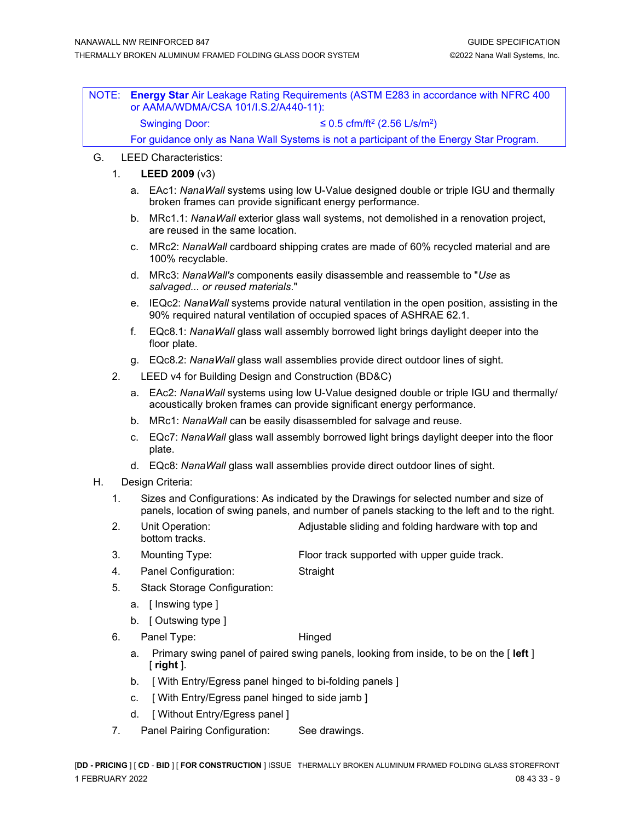NOTE: **Energy Star** Air Leakage Rating Requirements (ASTM E283 in accordance with NFRC 400 or AAMA/WDMA/CSA 101/I.S.2/A440-11): Swinging Door:  $\leq 0.5$  cfm/ft<sup>2</sup> (2.56 L/s/m<sup>2</sup>) For guidance only as Nana Wall Systems is not a participant of the Energy Star Program.

- G. LEED Characteristics:
	- 1. **LEED 2009** (v3)
		- a. EAc1: *NanaWall* systems using low U-Value designed double or triple IGU and thermally broken frames can provide significant energy performance.
		- b. MRc1.1: *NanaWall* exterior glass wall systems, not demolished in a renovation project, are reused in the same location.
		- c. MRc2: *NanaWall* cardboard shipping crates are made of 60% recycled material and are 100% recyclable.
		- d. MRc3: *NanaWall's* components easily disassemble and reassemble to "*Use* as *salvaged... or reused materials*."
		- e. IEQc2: *NanaWall* systems provide natural ventilation in the open position, assisting in the 90% required natural ventilation of occupied spaces of ASHRAE 62.1.
		- f. EQc8.1: *NanaWall* glass wall assembly borrowed light brings daylight deeper into the floor plate.
		- g. EQc8.2: *NanaWall* glass wall assemblies provide direct outdoor lines of sight.
	- 2. LEED v4 for Building Design and Construction (BD&C)
		- a. EAc2: *NanaWall* systems using low U-Value designed double or triple IGU and thermally/ acoustically broken frames can provide significant energy performance.
		- b. MRc1: *NanaWall* can be easily disassembled for salvage and reuse.
		- c. EQc7: *NanaWall* glass wall assembly borrowed light brings daylight deeper into the floor plate.
		- d. EQc8: *NanaWall* glass wall assemblies provide direct outdoor lines of sight.
- H. Design Criteria:
	- 1. Sizes and Configurations: As indicated by the Drawings for selected number and size of panels, location of swing panels, and number of panels stacking to the left and to the right.
	- 2. Unit Operation: Adjustable sliding and folding hardware with top and bottom tracks.
	- 3. Mounting Type: Floor track supported with upper guide track.
	- 4. Panel Configuration: Straight
	- 5. Stack Storage Configuration:
		- a. [ Inswing type ]
		- b. [ Outswing type ]
	- 6. Panel Type: Hinged

- a. Primary swing panel of paired swing panels, looking from inside, to be on the [ **left** ] [ **right** ].
- b. [ With Entry/Egress panel hinged to bi-folding panels ]
- c. [ With Entry/Egress panel hinged to side jamb ]
- d. [ Without Entry/Egress panel ]
- 7. Panel Pairing Configuration: See drawings.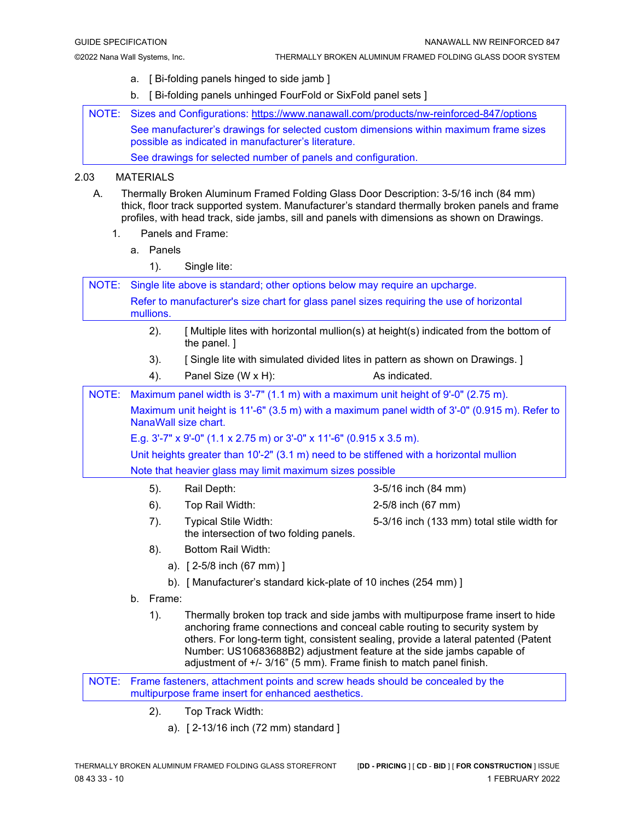- a. [ Bi-folding panels hinged to side jamb ]
- b. [ Bi-folding panels unhinged FourFold or SixFold panel sets ]

NOTE: Sizes and Configurations:<https://www.nanawall.com/products/nw-reinforced-847/options> See manufacturer's drawings for selected custom dimensions within maximum frame sizes possible as indicated in manufacturer's literature.

See drawings for selected number of panels and configuration.

### 2.03 MATERIALS

- A. Thermally Broken Aluminum Framed Folding Glass Door Description: 3-5/16 inch (84 mm) thick, floor track supported system. Manufacturer's standard thermally broken panels and frame profiles, with head track, side jambs, sill and panels with dimensions as shown on Drawings.
	- 1. Panels and Frame:
		- a. Panels
			- 1). Single lite:

NOTE: Single lite above is standard; other options below may require an upcharge. Refer to manufacturer's size chart for glass panel sizes requiring the use of horizontal mullions. 2). [ Multiple lites with horizontal mullion(s) at height(s) indicated from the bottom of the panel. ] 3). [ Single lite with simulated divided lites in pattern as shown on Drawings.] 4). Panel Size (W x H): As indicated. NOTE: Maximum panel width is 3'-7" (1.1 m) with a maximum unit height of 9'-0" (2.75 m). Maximum unit height is 11'-6" (3.5 m) with a maximum panel width of 3'-0" (0.915 m). Refer to NanaWall size chart. E.g. 3'-7" x 9'-0" (1.1 x 2.75 m) or 3'-0" x 11'-6" (0.915 x 3.5 m). Unit heights greater than 10'-2" (3.1 m) need to be stiffened with a horizontal mullion Note that heavier glass may limit maximum sizes possible 5). Rail Depth: 3-5/16 inch (84 mm) 6). Top Rail Width: 2-5/8 inch (67 mm) 7). Typical Stile Width: 5-3/16 inch (133 mm) total stile width for

- the intersection of two folding panels.
- 8). Bottom Rail Width:
	- a). [ 2-5/8 inch (67 mm) ]
	- b). [ Manufacturer's standard kick-plate of 10 inches (254 mm) ]
- b. Frame:
	- 1). Thermally broken top track and side jambs with multipurpose frame insert to hide anchoring frame connections and conceal cable routing to security system by others. For long-term tight, consistent sealing, provide a lateral patented (Patent Number: US10683688B2) adjustment feature at the side jambs capable of adjustment of +/- 3/16" (5 mm). Frame finish to match panel finish.

NOTE: Frame fasteners, attachment points and screw heads should be concealed by the multipurpose frame insert for enhanced aesthetics.

- 2). Top Track Width:
	- a). [ 2-13/16 inch (72 mm) standard ]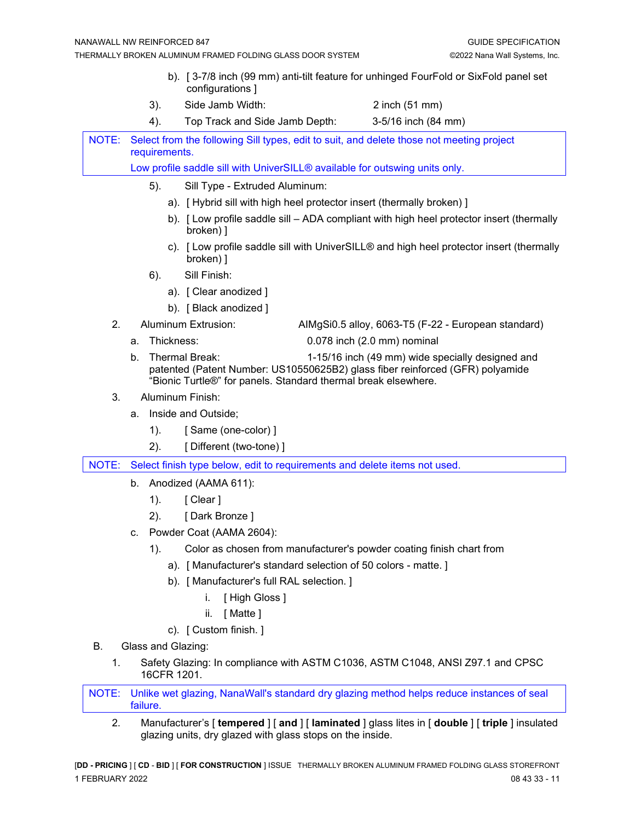- b). [ 3-7/8 inch (99 mm) anti-tilt feature for unhinged FourFold or SixFold panel set configurations ]
- 3). Side Jamb Width: 2 inch (51 mm)
- 4). Top Track and Side Jamb Depth: 3-5/16 inch (84 mm)

NOTE: Select from the following Sill types, edit to suit, and delete those not meeting project requirements.

Low profile saddle sill with UniverSILL® available for outswing units only.

- 5). Sill Type Extruded Aluminum:
	- a). [ Hybrid sill with high heel protector insert (thermally broken) ]
	- b). [ Low profile saddle sill ADA compliant with high heel protector insert (thermally broken) ]
	- c). [ Low profile saddle sill with UniverSILL® and high heel protector insert (thermally broken) ]
- 6). Sill Finish:
	- a). [ Clear anodized ]
	- b). [ Black anodized ]
- 
- 2. Aluminum Extrusion: AIMgSi0.5 alloy, 6063-T5 (F-22 European standard)
	- a. Thickness: 0.078 inch (2.0 mm) nominal b. Thermal Break: 1-15/16 inch (49 mm) wide specially designed and patented (Patent Number: US10550625B2) glass fiber reinforced (GFR) polyamide "Bionic Turtle®" for panels. Standard thermal break elsewhere.
- 3. Aluminum Finish:
	- a. Inside and Outside;
		- 1). [ Same (one-color) ]
		- 2). [ Different (two-tone) ]

NOTE: Select finish type below, edit to requirements and delete items not used.

- b. Anodized (AAMA 611):
	- 1). [ Clear ]
	- 2). [ Dark Bronze ]
- c. Powder Coat (AAMA 2604):
	- 1). Color as chosen from manufacturer's powder coating finish chart from
		- a). [ Manufacturer's standard selection of 50 colors matte. ]
		- b). [ Manufacturer's full RAL selection. ]
			- i. [ High Gloss ]
			- ii. [ Matte ]
		- c). [ Custom finish. ]
- B. Glass and Glazing:
	- 1. Safety Glazing: In compliance with ASTM C1036, ASTM C1048, ANSI Z97.1 and CPSC 16CFR 1201.

NOTE: Unlike wet glazing, NanaWall's standard dry glazing method helps reduce instances of seal failure.

2. Manufacturer's [ **tempered** ] [ **and** ] [ **laminated** ] glass lites in [ **double** ] [ **triple** ] insulated glazing units, dry glazed with glass stops on the inside.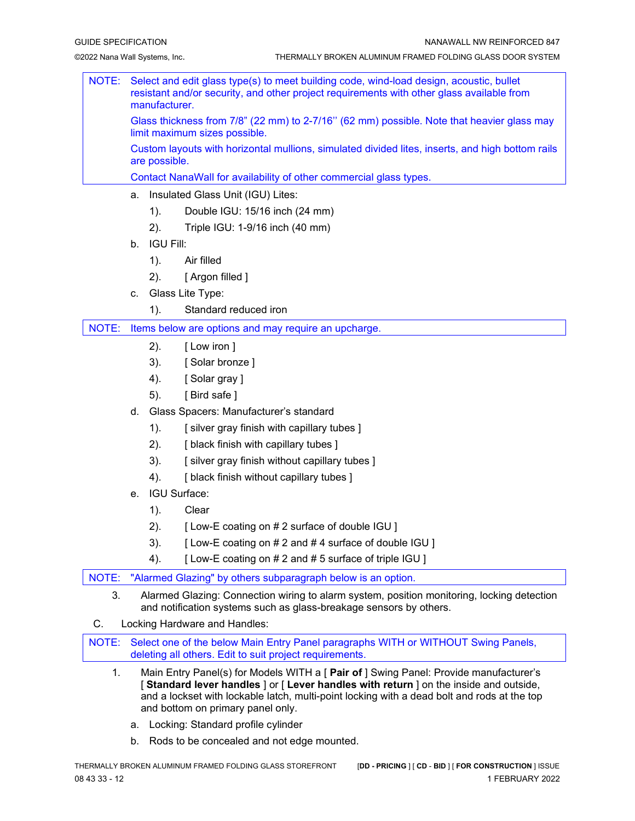|  | NOTE: Select and edit glass type(s) to meet building code, wind-load design, acoustic, bullet<br>resistant and/or security, and other project requirements with other glass available from<br>manufacturer. |
|--|-------------------------------------------------------------------------------------------------------------------------------------------------------------------------------------------------------------|
|  | Glass thickness from 7/8" (22 mm) to 2-7/16" (62 mm) possible. Note that heavier glass may<br>limit maximum sizes possible.                                                                                 |
|  | Custom layouts with horizontal mullions, simulated divided lites, inserts, and high bottom rails<br>are possible.                                                                                           |
|  | Contact NanaWall for availability of other commercial glass types.                                                                                                                                          |

- a. Insulated Glass Unit (IGU) Lites:
	- 1). Double IGU: 15/16 inch (24 mm)
	- 2). Triple IGU: 1-9/16 inch (40 mm)
- b. IGU Fill:
	- 1). Air filled
	- 2). [ Argon filled ]
- c. Glass Lite Type:
	- 1). Standard reduced iron

NOTE: Items below are options and may require an upcharge.

- 2). [ Low iron ]
- 3). [ Solar bronze ]
- 4). [ Solar gray ]
- 5). [ Bird safe ]
- d. Glass Spacers: Manufacturer's standard
	- 1). [ silver gray finish with capillary tubes ]
	- 2). [ black finish with capillary tubes ]
	- 3). [ silver gray finish without capillary tubes ]
	- 4). [ black finish without capillary tubes ]
- e. IGU Surface:
	- 1). Clear
	- 2). [ Low-E coating on # 2 surface of double IGU ]
	- 3).  $[Low-E coating on # 2 and # 4 surface of double  $|GU|$$
	- 4). [Low-E coating on # 2 and # 5 surface of triple IGU ]
- NOTE: "Alarmed Glazing" by others subparagraph below is an option.
	- 3. Alarmed Glazing: Connection wiring to alarm system, position monitoring, locking detection and notification systems such as glass-breakage sensors by others.
- C. Locking Hardware and Handles:

NOTE: Select one of the below Main Entry Panel paragraphs WITH or WITHOUT Swing Panels, deleting all others. Edit to suit project requirements.

- 1. Main Entry Panel(s) for Models WITH a [ **Pair of** ] Swing Panel: Provide manufacturer's [ **Standard lever handles** ] or [ **Lever handles with return** ] on the inside and outside, and a lockset with lockable latch, multi-point locking with a dead bolt and rods at the top and bottom on primary panel only.
	- a. Locking: Standard profile cylinder
	- b. Rods to be concealed and not edge mounted.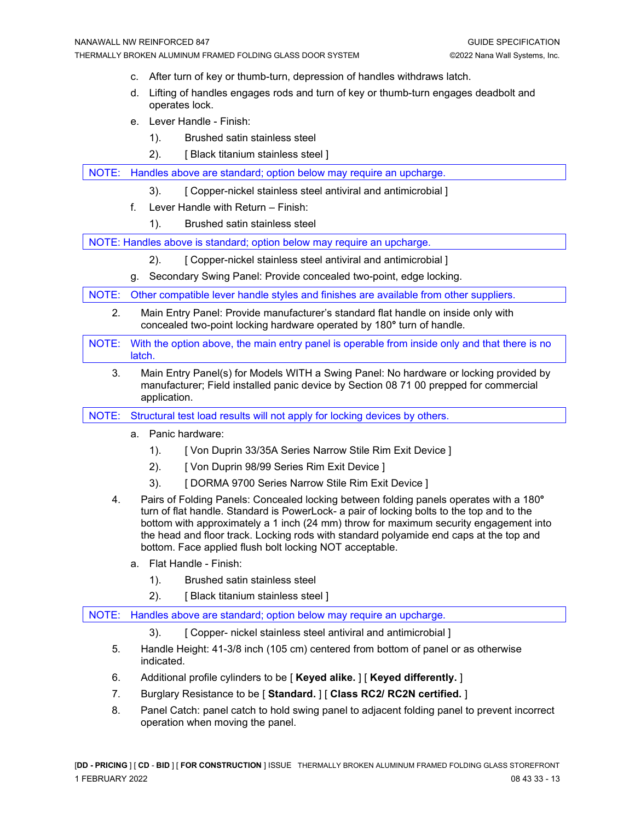- c. After turn of key or thumb-turn, depression of handles withdraws latch.
- d. Lifting of handles engages rods and turn of key or thumb-turn engages deadbolt and operates lock.
- e. Lever Handle Finish:
	- 1). Brushed satin stainless steel
	- 2). [ Black titanium stainless steel ]

NOTE: Handles above are standard; option below may require an upcharge.

- 3). [ Copper-nickel stainless steel antiviral and antimicrobial ]
- f. Lever Handle with Return Finish:
	- 1). Brushed satin stainless steel

NOTE: Handles above is standard; option below may require an upcharge.

- 2). [ Copper-nickel stainless steel antiviral and antimicrobial ]
- g. Secondary Swing Panel: Provide concealed two-point, edge locking.

NOTE: Other compatible lever handle styles and finishes are available from other suppliers.

- 2. Main Entry Panel: Provide manufacturer's standard flat handle on inside only with concealed two-point locking hardware operated by 180**°** turn of handle.
- NOTE: With the option above, the main entry panel is operable from inside only and that there is no latch.
	- 3. Main Entry Panel(s) for Models WITH a Swing Panel: No hardware or locking provided by manufacturer; Field installed panic device by Section 08 71 00 prepped for commercial application.
- NOTE: Structural test load results will not apply for locking devices by others.
	- a. Panic hardware:
		- 1). [ Von Duprin 33/35A Series Narrow Stile Rim Exit Device ]
		- 2). [ Von Duprin 98/99 Series Rim Exit Device ]
		- 3). [ DORMA 9700 Series Narrow Stile Rim Exit Device ]
	- 4. Pairs of Folding Panels: Concealed locking between folding panels operates with a 180**°** turn of flat handle. Standard is PowerLock- a pair of locking bolts to the top and to the bottom with approximately a 1 inch (24 mm) throw for maximum security engagement into the head and floor track. Locking rods with standard polyamide end caps at the top and bottom. Face applied flush bolt locking NOT acceptable.
		- a. Flat Handle Finish:
			- 1). Brushed satin stainless steel
			- 2). [ Black titanium stainless steel ]

NOTE: Handles above are standard; option below may require an upcharge.

- 3). [ Copper- nickel stainless steel antiviral and antimicrobial ]
- 5. Handle Height: 41-3/8 inch (105 cm) centered from bottom of panel or as otherwise indicated.
- 6. Additional profile cylinders to be [ **Keyed alike.** ] [ **Keyed differently.** ]
- 7. Burglary Resistance to be [ **Standard.** ] [ **Class RC2/ RC2N certified.** ]
- 8. Panel Catch: panel catch to hold swing panel to adjacent folding panel to prevent incorrect operation when moving the panel.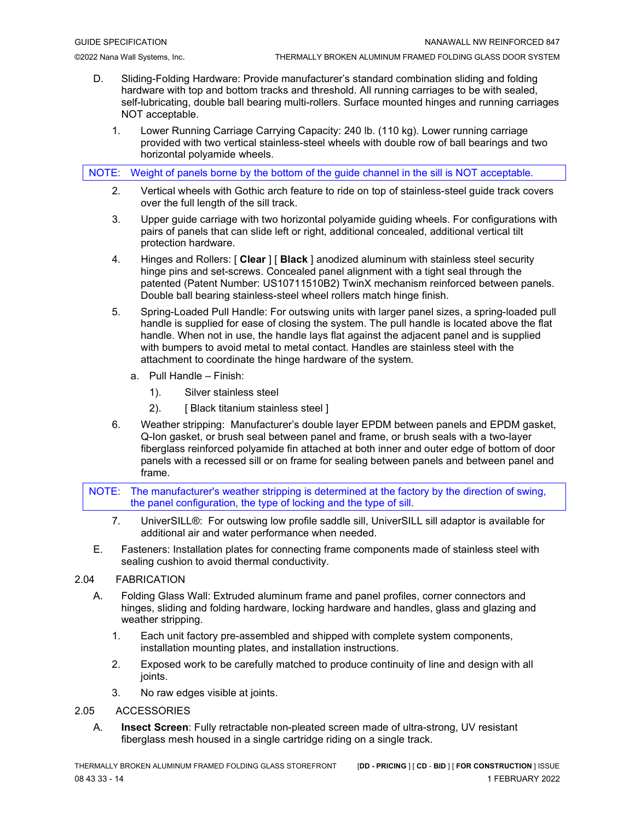- D. Sliding-Folding Hardware: Provide manufacturer's standard combination sliding and folding hardware with top and bottom tracks and threshold. All running carriages to be with sealed, self-lubricating, double ball bearing multi-rollers. Surface mounted hinges and running carriages NOT acceptable.
	- 1. Lower Running Carriage Carrying Capacity: 240 lb. (110 kg). Lower running carriage provided with two vertical stainless-steel wheels with double row of ball bearings and two horizontal polyamide wheels.

NOTE: Weight of panels borne by the bottom of the guide channel in the sill is NOT acceptable.

- 2. Vertical wheels with Gothic arch feature to ride on top of stainless-steel guide track covers over the full length of the sill track.
- 3. Upper guide carriage with two horizontal polyamide guiding wheels. For configurations with pairs of panels that can slide left or right, additional concealed, additional vertical tilt protection hardware.
- 4. Hinges and Rollers: [ **Clear** ] [ **Black** ] anodized aluminum with stainless steel security hinge pins and set-screws. Concealed panel alignment with a tight seal through the patented (Patent Number: US10711510B2) TwinX mechanism reinforced between panels. Double ball bearing stainless-steel wheel rollers match hinge finish.
- 5. Spring-Loaded Pull Handle: For outswing units with larger panel sizes, a spring-loaded pull handle is supplied for ease of closing the system. The pull handle is located above the flat handle. When not in use, the handle lays flat against the adjacent panel and is supplied with bumpers to avoid metal to metal contact. Handles are stainless steel with the attachment to coordinate the hinge hardware of the system.
	- a. Pull Handle Finish:
		- 1). Silver stainless steel
		- 2). [ Black titanium stainless steel ]
- 6. Weather stripping: Manufacturer's double layer EPDM between panels and EPDM gasket, Q-Ion gasket, or brush seal between panel and frame, or brush seals with a two-layer fiberglass reinforced polyamide fin attached at both inner and outer edge of bottom of door panels with a recessed sill or on frame for sealing between panels and between panel and frame.

NOTE: The manufacturer's weather stripping is determined at the factory by the direction of swing, the panel configuration, the type of locking and the type of sill.

- 7. UniverSILL®: For outswing low profile saddle sill, UniverSILL sill adaptor is available for additional air and water performance when needed.
- E. Fasteners: Installation plates for connecting frame components made of stainless steel with sealing cushion to avoid thermal conductivity.

#### 2.04 FABRICATION

- A. Folding Glass Wall: Extruded aluminum frame and panel profiles, corner connectors and hinges, sliding and folding hardware, locking hardware and handles, glass and glazing and weather stripping.
	- 1. Each unit factory pre-assembled and shipped with complete system components, installation mounting plates, and installation instructions.
	- 2. Exposed work to be carefully matched to produce continuity of line and design with all joints.
	- 3. No raw edges visible at joints.

#### 2.05 ACCESSORIES

A. **Insect Screen**: Fully retractable non-pleated screen made of ultra-strong, UV resistant fiberglass mesh housed in a single cartridge riding on a single track.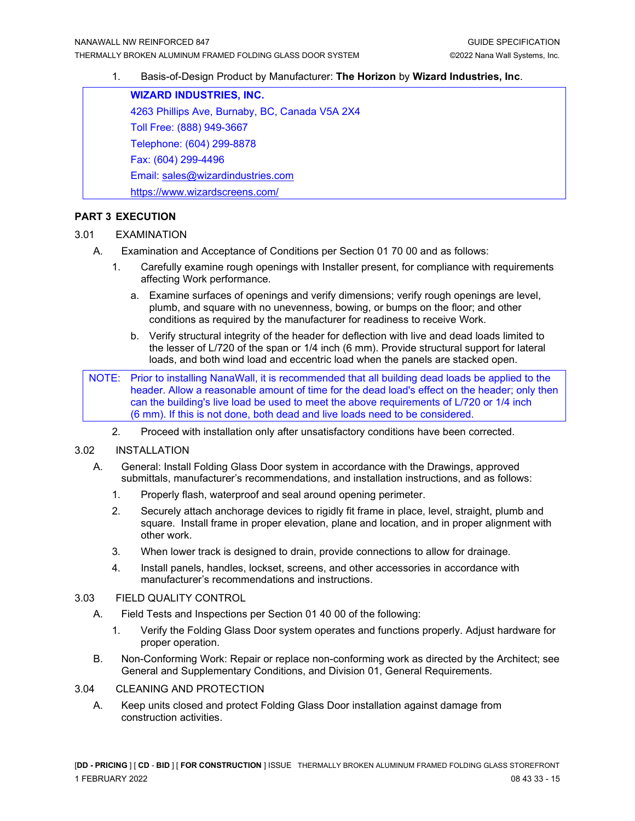#### 1. Basis-of-Design Product by Manufacturer: **The Horizon** by **Wizard Industries, Inc**.

**WIZARD INDUSTRIES, INC.** 4263 Phillips Ave, Burnaby, BC, Canada V5A 2X4 Toll Free: (888) 949-3667 Telephone: (604) 299-8878 Fax: (604) 299-4496 Email: [sales@wizardindustries.com](mailto:sales@wizardindustries.com) <https://www.wizardscreens.com/>

#### **PART 3 EXECUTION**

#### 3.01 EXAMINATION

- A. Examination and Acceptance of Conditions per Section 01 70 00 and as follows:
	- 1. Carefully examine rough openings with Installer present, for compliance with requirements affecting Work performance.
		- a. Examine surfaces of openings and verify dimensions; verify rough openings are level, plumb, and square with no unevenness, bowing, or bumps on the floor; and other conditions as required by the manufacturer for readiness to receive Work.
		- b. Verify structural integrity of the header for deflection with live and dead loads limited to the lesser of L/720 of the span or 1/4 inch (6 mm). Provide structural support for lateral loads, and both wind load and eccentric load when the panels are stacked open.

NOTE: Prior to installing NanaWall, it is recommended that all building dead loads be applied to the header. Allow a reasonable amount of time for the dead load's effect on the header; only then can the building's live load be used to meet the above requirements of L/720 or 1/4 inch (6 mm). If this is not done, both dead and live loads need to be considered.

2. Proceed with installation only after unsatisfactory conditions have been corrected.

#### 3.02 INSTALLATION

- A. General: Install Folding Glass Door system in accordance with the Drawings, approved submittals, manufacturer's recommendations, and installation instructions, and as follows:
	- 1. Properly flash, waterproof and seal around opening perimeter.
	- 2. Securely attach anchorage devices to rigidly fit frame in place, level, straight, plumb and square. Install frame in proper elevation, plane and location, and in proper alignment with other work.
	- 3. When lower track is designed to drain, provide connections to allow for drainage.
	- 4. Install panels, handles, lockset, screens, and other accessories in accordance with manufacturer's recommendations and instructions.

#### 3.03 FIELD QUALITY CONTROL

- A. Field Tests and Inspections per Section 01 40 00 of the following:
	- 1. Verify the Folding Glass Door system operates and functions properly. Adjust hardware for proper operation.
- B. Non-Conforming Work: Repair or replace non-conforming work as directed by the Architect; see General and Supplementary Conditions, and Division 01, General Requirements.

#### 3.04 CLEANING AND PROTECTION

A. Keep units closed and protect Folding Glass Door installation against damage from construction activities.